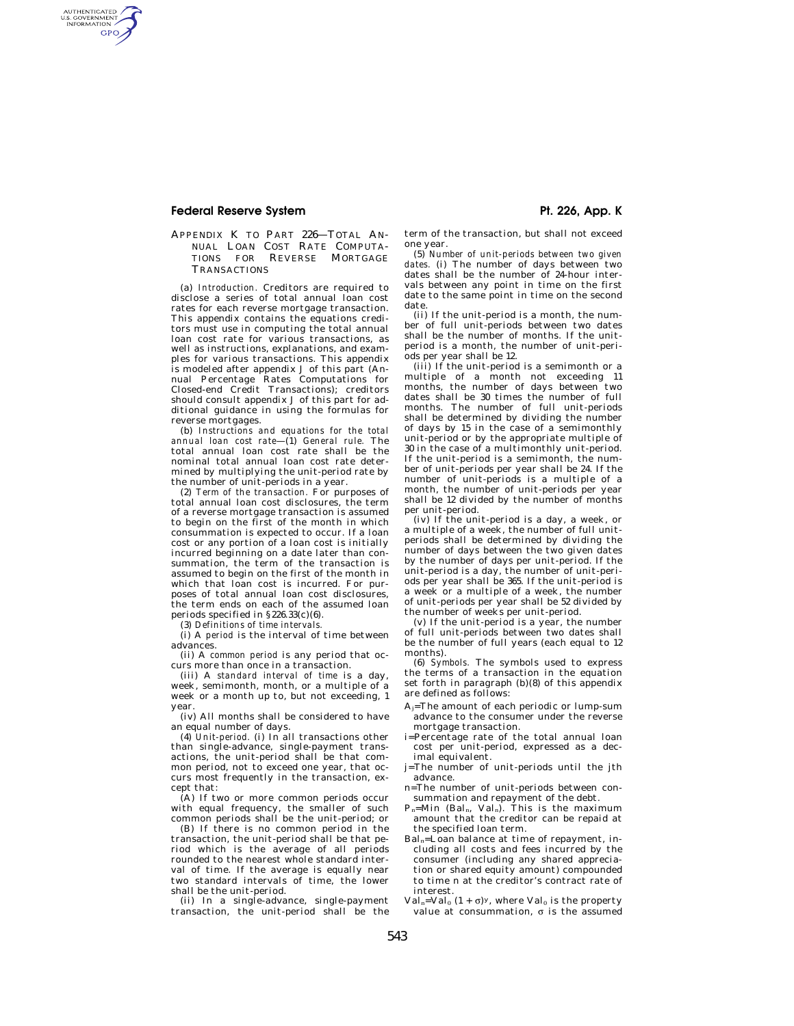## **Federal Reserve System Pt. 226, App. K**

AUTHENTICATED<br>U.S. GOVERNMENT<br>INFORMATION **GPO** 

> APPENDIX K TO PART 226—TOTAL AN-NUAL LOAN COST RATE COMPUTA-TIONS FOR REVERSE MORTGAGE **TRANSACTIONS**

> (a) *Introduction.* Creditors are required to disclose a series of total annual loan cost rates for each reverse mortgage transaction. This appendix contains the equations creditors must use in computing the total annual loan cost rate for various transactions, as well as instructions, explanations, and examples for various transactions. This appendix is modeled after appendix J of this part (Annual Percentage Rates Computations for Closed-end Credit Transactions); creditors should consult appendix J of this part for additional guidance in using the formulas for reverse mortgages.

> (b) *Instructions and equations for the total annual loan cost rate*—(1) *General rule.* The total annual loan cost rate shall be the nominal total annual loan cost rate determined by multiplying the unit-period rate by the number of unit-periods in a year.

> (2) *Term of the transaction.* For purposes of total annual loan cost disclosures, the term of a reverse mortgage transaction is assumed to begin on the first of the month in which consummation is expected to occur. If a loan cost or any portion of a loan cost is initially incurred beginning on a date later than consummation, the term of the transaction is assumed to begin on the first of the month in which that loan cost is incurred. For purposes of total annual loan cost disclosures, the term ends on each of the assumed loan periods specified in §226.33(c)(6).

(3) *Definitions of time intervals.* 

(i) A *period* is the interval of time between advances.

(ii) A *common period* is any period that occurs more than once in a transaction.

(iii) A *standard interval of time* is a day, week, semimonth, month, or a multiple of a week or a month up to, but not exceeding, 1 year.

(iv) All months shall be considered to have an equal number of days.

(4) *Unit-period.* (i) In all transactions other than single-advance, single-payment transactions, the unit-period shall be that common period, not to exceed one year, that occurs most frequently in the transaction, except that:

(A) If two or more common periods occur with equal frequency, the smaller of such common periods shall be the unit-period; or

(B) If there is no common period in the transaction, the unit-period shall be that period which is the average of all periods rounded to the nearest whole standard interval of time. If the average is equally near two standard intervals of time, the lower shall be the unit-period.

(ii) In a single-advance, single-payment transaction, the unit-period shall be the term of the transaction, but shall not exceed one year.

(5) *Number of unit-periods between two given*  dates. (i) The number of days between two dates shall be the number of 24-hour intervals between any point in time on the first date to the same point in time on the second date

(ii) If the unit-period is a month, the number of full unit-periods between two dates shall be the number of months. If the unitperiod is a month, the number of unit-periods per year shall be 12.

(iii) If the unit-period is a semimonth or a multiple of a month not exceeding 11 months, the number of days between two dates shall be 30 times the number of full months. The number of full unit-periods shall be determined by dividing the number of days by 15 in the case of a semimonthly unit-period or by the appropriate multiple of 30 in the case of a multimonthly unit-period. If the unit-period is a semimonth, the number of unit-periods per year shall be 24. If the number of unit-periods is a multiple of a month, the number of unit-periods per year shall be 12 divided by the number of months per unit-period.

(iv) If the unit-period is a day, a week, or a multiple of a week, the number of full unitperiods shall be determined by dividing the number of days between the two given dates by the number of days per unit-period. If the unit-period is a day, the number of unit-periods per year shall be 365. If the unit-period is a week or a multiple of a week, the number of unit-periods per year shall be 52 divided by the number of weeks per unit-period.

(v) If the unit-period is a year, the number of full unit-periods between two dates shall be the number of full years (each equal to 12 months).

(6) *Symbols.* The symbols used to express the terms of a transaction in the equation set forth in paragraph (b)(8) of this appendix are defined as follows:

- Aj=The amount of each periodic or lump-sum advance to the consumer under the reverse mortgage transaction.
- i=Percentage rate of the total annual loan cost per unit-period, expressed as a decimal equivalent.
- j=The number of unit-periods until the jth advance.
- n=The number of unit-periods between con-
- summation and repayment of the debt.<br> $P_n = Min$  (Bal<sub>n</sub>, Val<sub>n</sub>). This is the maximum amount that the creditor can be repaid at the specified loan term.
- Baln=Loan balance at time of repayment, including all costs and fees incurred by the consumer (including any shared appreciation or shared equity amount) compounded to time n at the creditor's contract rate of interest.
- $Val_n=Val_0 (1 + \sigma)y$ , where  $Val_0$  is the property value at consummation,  $\sigma$  is the assumed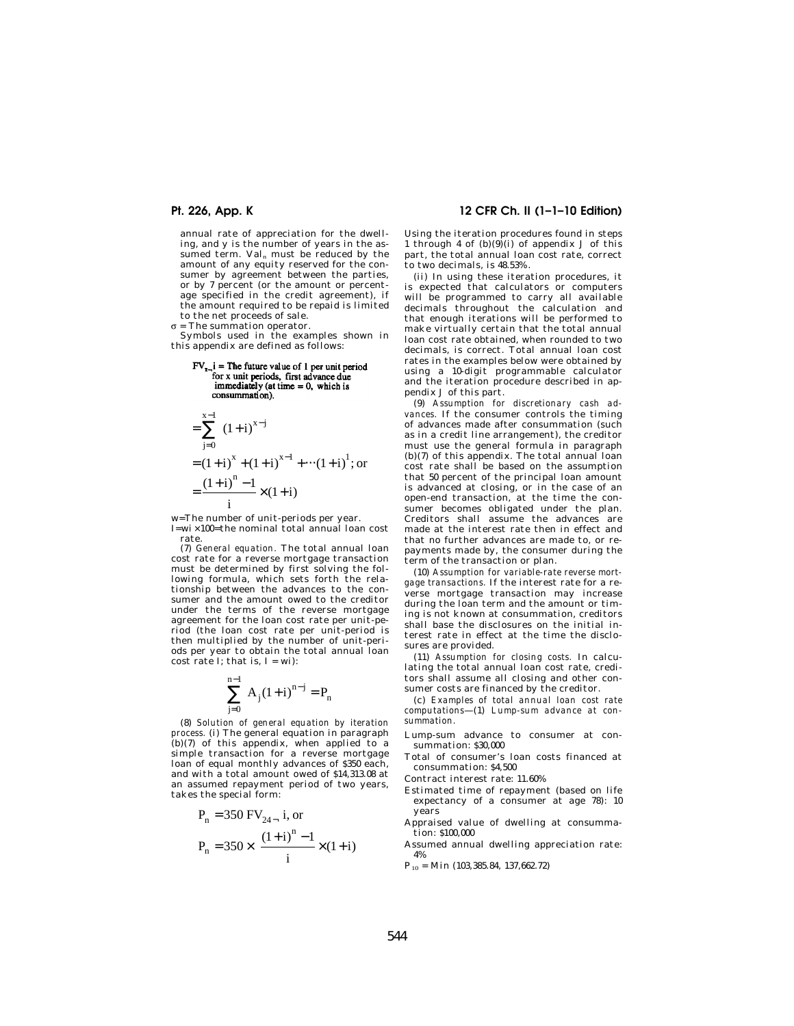annual rate of appreciation for the dwelling, and y is the number of years in the assumed term.  $Val_n$  must be reduced by the amount of any equity reserved for the consumer by agreement between the parties, or by 7 percent (or the amount or percentage specified in the credit agreement), if the amount required to be repaid is limited to the net proceeds of sale.

 $\sigma$  = The summation operator.

— . . . .

Symbols used in the examples shown in this appendix are defined as follows:  $\sim$ 

$$
Fv_{x-1} = \text{The future value of 1 per unit period}
$$
\nfor x unit periods, first advance due  
\n
$$
\text{immediately (at time = 0, which is\nconsummation)}.
$$
\n
$$
= \sum_{j=0}^{x-1} (1+i)^{x-j}
$$
\n
$$
= (1+i)^{x} + (1+i)^{x-1} + \cdots (1+i)^{1}; \text{ or}
$$
\n
$$
= \frac{(1+i)^{n} - 1}{i} \times (1+i)
$$

w=The number of unit-periods per year. I=wi × 100=the nominal total annual loan cost rate.

(7) *General equation.* The total annual loan cost rate for a reverse mortgage transaction must be determined by first solving the following formula, which sets forth the relationship between the advances to the consumer and the amount owed to the creditor under the terms of the reverse mortgage agreement for the loan cost rate per unit-period (the loan cost rate per unit-period is then multiplied by the number of unit-periods per year to obtain the total annual loan cost rate I; that is,  $I = wi$ :

$$
\sum_{j=0}^{n-1} A_j (1+i)^{n-j} = P_n
$$

(8) *Solution of general equation by iteration process.* (i) The general equation in paragraph (b)(7) of this appendix, when applied to a simple transaction for a reverse mortgage loan of equal monthly advances of \$350 each, and with a total amount owed of \$14,313.08 at an assumed repayment period of two years, takes the special form:

$$
P_n = 350 \text{ FV}_{24-} \text{ i, or}
$$
  

$$
P_n = 350 \times \left[ \frac{(1+i)^n - 1}{i} \times (1+i) \right]
$$

# **Pt. 226, App. K 12 CFR Ch. II (1–1–10 Edition)**

Using the iteration procedures found in steps 1 through 4 of  $(b)(9)(i)$  of appendix J of this part, the total annual loan cost rate, correct to two decimals, is 48.53%.

(ii) In using these iteration procedures, it is expected that calculators or computers will be programmed to carry all available decimals throughout the calculation and that enough iterations will be performed to make virtually certain that the total annual loan cost rate obtained, when rounded to two decimals, is correct. Total annual loan cost rates in the examples below were obtained by using a 10-digit programmable calculator and the iteration procedure described in appendix J of this part.

(9) *Assumption for discretionary cash advances.* If the consumer controls the timing of advances made after consummation (such as in a credit line arrangement), the creditor must use the general formula in paragraph (b)(7) of this appendix. The total annual loan cost rate shall be based on the assumption that 50 percent of the principal loan amount is advanced at closing, or in the case of an open-end transaction, at the time the consumer becomes obligated under the plan. Creditors shall assume the advances are made at the interest rate then in effect and that no further advances are made to, or repayments made by, the consumer during the term of the transaction or plan.

(10) *Assumption for variable-rate reverse mortgage transactions.* If the interest rate for a reverse mortgage transaction may increase during the loan term and the amount or timing is not known at consummation, creditors shall base the disclosures on the initial interest rate in effect at the time the disclosures are provided.

(11) *Assumption for closing costs.* In calculating the total annual loan cost rate, creditors shall assume all closing and other consumer costs are financed by the creditor.

(c) *Examples of total annual loan cost rate computations*—(1) *Lump-sum advance at consummation.* 

Lump-sum advance to consumer at consummation: \$30,000

Total of consumer's loan costs financed at consummation: \$4,500

Contract interest rate: 11.60%

Estimated time of repayment (based on life expectancy of a consumer at age 78): 10 years

Appraised value of dwelling at consummation: \$100,000

Assumed annual dwelling appreciation rate: 4%

 $P_{10} = Min (103,385.84, 137,662.72)$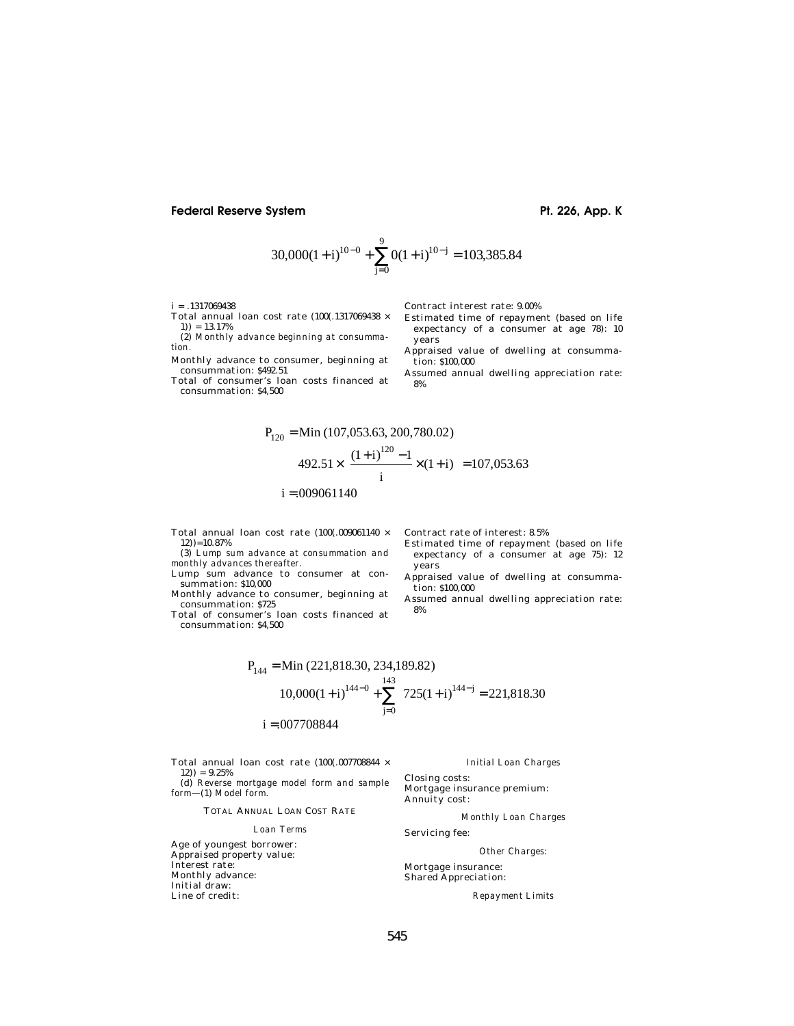# Federal Reserve System **Pt. 226, App. K**

$$
30,000(1+i)^{10-0} + \sum_{j=0}^{9} 0(1+i)^{10-j} = 103,385.84
$$

 $i = .1317069438$ 

Total annual loan cost rate (100(.1317069438  $\times$ 1)) = 13.17%

(2) *Monthly advance beginning at consummation.* 

Monthly advance to consumer, beginning at consummation: \$492.51 Total of consumer's loan costs financed at

consummation: \$4,500

Contract interest rate: 9.00%

- Estimated time of repayment (based on life expectancy of a consumer at age 78): 10 years
- Appraised value of dwelling at consummation: \$100,000
- Assumed annual dwelling appreciation rate: 8%

$$
P_{120} = \text{Min} (107,053.63, 200,780.02)
$$
  

$$
492.51 \times \left[ \frac{(1+i)^{120} - 1}{i} \times (1+i) \right] = 107,053.63
$$
  
i = .009061140

Total annual loan cost rate  $(100(.009061140 \times$ 12))=10.87%

(3) *Lump sum advance at consummation and monthly advances thereafter.* 

Lump sum advance to consumer at consummation: \$10,000

Monthly advance to consumer, beginning at consummation: \$725

Total of consumer's loan costs financed at consummation: \$4,500

Contract rate of interest: 8.5%

- Estimated time of repayment (based on life expectancy of a consumer at age 75): 12 years
- Appraised value of dwelling at consummation: \$100,000
- Assumed annual dwelling appreciation rate: 8%

$$
P_{144} = \text{Min} (221,818.30, 234,189.82)
$$
  

$$
10,000(1+i)^{144-0} + \sum_{j=0}^{143} 725(1+i)^{144-j} = 221,818.30
$$

 $i = 007708844$ 

*Initial Loan Charges* 

Closing costs: Mortgage insurance premium:

TOTAL ANNUAL LOAN COST RATE

### *Loan Terms*

Total annual loan cost rate (100(.007708844 ×

(d) *Reverse mortgage model form and sample* 

Age of youngest borrower: Appraised property value: Interest rate: Monthly advance: Initial draw: Line of credit:

 $12)$ ) = 9.25%

*form*—(1) *Model form.* 

Annuity cost:

*Monthly Loan Charges* 

Servicing fee:

*Other Charges:* 

Mortgage insurance: Shared Appreciation:

*Repayment Limits*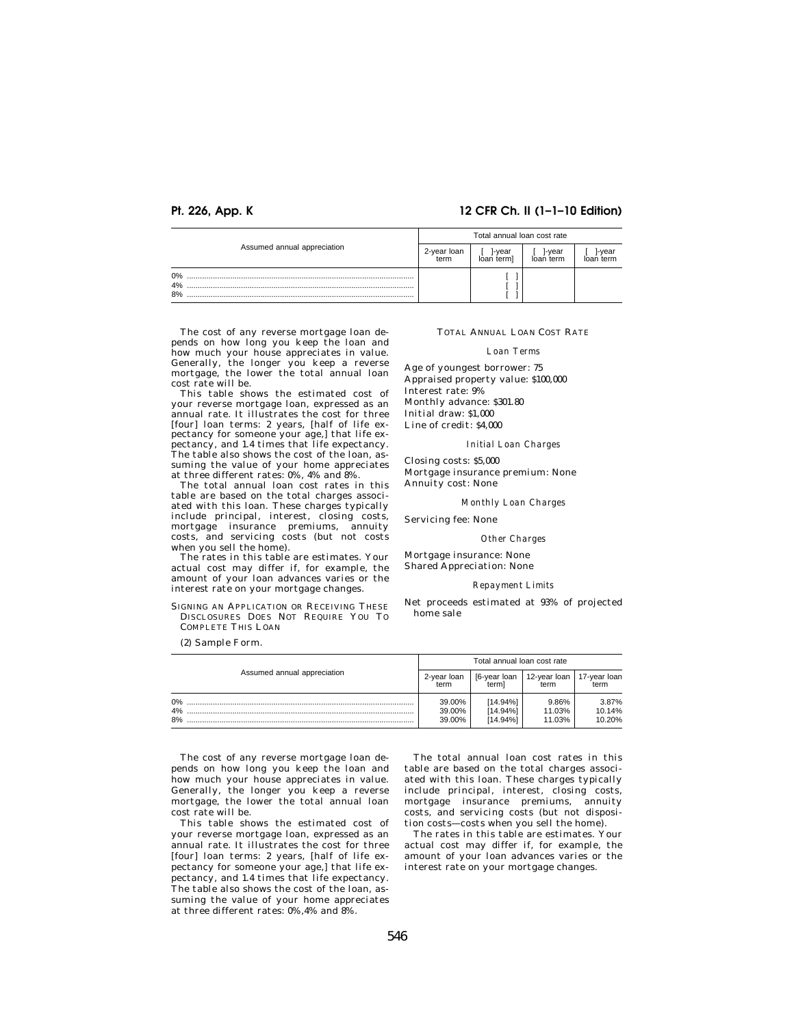# **Pt. 226, App. K 12 CFR Ch. II (1–1–10 Edition)**

| Assumed annual appreciation | Total annual loan cost rate |                      |                    |                    |
|-----------------------------|-----------------------------|----------------------|--------------------|--------------------|
|                             | 2-year loan<br>term         | 1-vear<br>loan terml | -vear<br>loan term | -year<br>loan term |
| 0%<br>4%<br>8%              |                             |                      |                    |                    |

The cost of any reverse mortgage loan depends on how long you keep the loan and how much your house appreciates in value. Generally, the longer you keep a reverse mortgage, the lower the total annual loan cost rate will be.

This table shows the estimated cost of your reverse mortgage loan, expressed as an annual rate. It illustrates the cost for three [four] loan terms: 2 years, [half of life expectancy for someone your age,] that life ex-pectancy, and 1.4 times that life expectancy. The table also shows the cost of the loan, assuming the value of your home appreciates at three different rates: 0%, 4% and 8%.

The total annual loan cost rates in this table are based on the total charges associated with this loan. These charges typically include principal, interest, closing costs, mortgage insurance premiums, annuity costs, and servicing costs (but not costs when you sell the home).

The rates in this table are estimates. Your actual cost may differ if, for example, the amount of your loan advances varies or the interest rate on your mortgage changes.

SIGNING AN APPLICATION OR RECEIVING THESE DISCLOSURES DOES NOT REQUIRE YOU TO COMPLETE THIS LOAN

(2) Sample Form.

TOTAL ANNUAL LOAN COST RATE

#### *Loan Terms*

Age of youngest borrower: 75 Appraised property value: \$100,000 Interest rate: 9% Monthly advance: \$301.80 Initial draw: \$1,000 Line of credit: \$4,000

#### *Initial Loan Charges*

Closing costs: \$5,000 Mortgage insurance premium: None Annuity cost: None

## *Monthly Loan Charges*

Servicing fee: None

### *Other Charges*

Mortgage insurance: None Shared Appreciation: None

### *Repayment Limits*

Net proceeds estimated at 93% of projected home sale

| Assumed annual appreciation | Total annual loan cost rate |                                        |                           |                           |
|-----------------------------|-----------------------------|----------------------------------------|---------------------------|---------------------------|
|                             | 2-year loan<br>term         | [6-year loan<br>terml                  | 12-year loan<br>term      | 17-year loan<br>term      |
| 0%<br>4%<br>8%              | 39.00%<br>39.00%<br>39.00%  | [14.94%]<br>$[14.94\%]$<br>$[14.94\%]$ | 9.86%<br>11.03%<br>11.03% | 3.87%<br>10.14%<br>10.20% |

The cost of any reverse mortgage loan depends on how long you keep the loan and how much your house appreciates in value. Generally, the longer you keep a reverse mortgage, the lower the total annual loan cost rate will be.

This table shows the estimated cost of your reverse mortgage loan, expressed as an annual rate. It illustrates the cost for three [four] loan terms: 2 years, [half of life expectancy for someone your age,] that life expectancy, and 1.4 times that life expectancy. The table also shows the cost of the loan, assuming the value of your home appreciates at three different rates: 0%,4% and 8%.

The total annual loan cost rates in this table are based on the total charges associated with this loan. These charges typically include principal, interest, closing costs, mortgage insurance premiums, annuity costs, and servicing costs (but not disposition costs—costs when you sell the home).

The rates in this table are estimates. Your actual cost may differ if, for example, the amount of your loan advances varies or the interest rate on your mortgage changes.